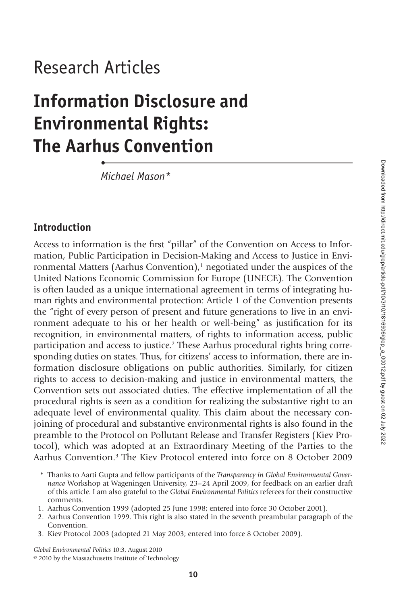## Research Articles

•

# **Information Disclosure and Environmental Rights: The Aarhus Convention**

*Michael Mason\**

## **Introduction**

Access to information is the first "pillar" of the Convention on Access to Information, Public Participation in Decision-Making and Access to Justice in Environmental Matters (Aarhus Convention), $<sup>1</sup>$  negotiated under the auspices of the</sup> United Nations Economic Commission for Europe (UNECE). The Convention is often lauded as a unique international agreement in terms of integrating human rights and environmental protection: Article 1 of the Convention presents the "right of every person of present and future generations to live in an environment adequate to his or her health or well-being" as justification for its recognition, in environmental matters, of rights to information access, public participation and access to justice.2 These Aarhus procedural rights bring corresponding duties on states. Thus, for citizens' access to information, there are information disclosure obligations on public authorities. Similarly, for citizen rights to access to decision-making and justice in environmental matters, the Convention sets out associated duties. The effective implementation of all the procedural rights is seen as a condition for realizing the substantive right to an adequate level of environmental quality. This claim about the necessary conjoining of procedural and substantive environmental rights is also found in the preamble to the Protocol on Pollutant Release and Transfer Registers (Kiev Protocol), which was adopted at an Extraordinary Meeting of the Parties to the Aarhus Convention.3 The Kiev Protocol entered into force on 8 October 2009

- 1. Aarhus Convention 1999 (adopted 25 June 1998; entered into force 30 October 2001).
- 2. Aarhus Convention 1999. This right is also stated in the seventh preambular paragraph of the Convention.
- 3. Kiev Protocol 2003 (adopted 21 May 2003; entered into force 8 October 2009).

*Global Environmental Politics* 10:3, August 2010 © 2010 by the Massachusetts Institute of Technology

<sup>\*</sup> Thanks to Aarti Gupta and fellow participants of the *Transparency in Global Environmental Governance* Workshop at Wageningen University, 23–24 April 2009, for feedback on an earlier draft of this article. I am also grateful to the *Global Environmental Politics* referees for their constructive comments.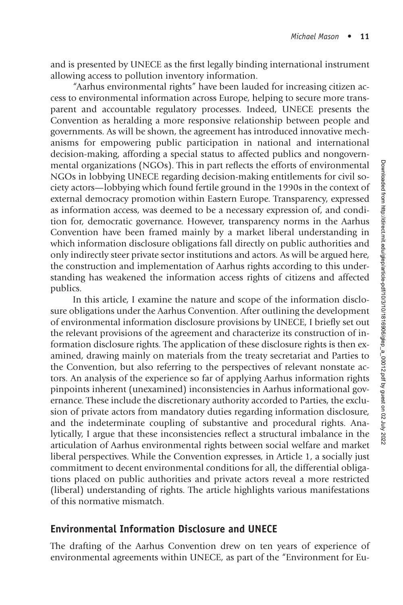and is presented by UNECE as the first legally binding international instrument allowing access to pollution inventory information.

"Aarhus environmental rights" have been lauded for increasing citizen access to environmental information across Europe, helping to secure more transparent and accountable regulatory processes. Indeed, UNECE presents the Convention as heralding a more responsive relationship between people and governments. As will be shown, the agreement has introduced innovative mechanisms for empowering public participation in national and international decision-making, affording a special status to affected publics and nongovernmental organizations (NGOs). This in part reflects the efforts of environmental NGOs in lobbying UNECE regarding decision-making entitlements for civil society actors—lobbying which found fertile ground in the 1990s in the context of external democracy promotion within Eastern Europe. Transparency, expressed as information access, was deemed to be a necessary expression of, and condition for, democratic governance. However, transparency norms in the Aarhus Convention have been framed mainly by a market liberal understanding in which information disclosure obligations fall directly on public authorities and only indirectly steer private sector institutions and actors. As will be argued here, the construction and implementation of Aarhus rights according to this understanding has weakened the information access rights of citizens and affected publics.

In this article, I examine the nature and scope of the information disclosure obligations under the Aarhus Convention. After outlining the development of environmental information disclosure provisions by UNECE, I briefly set out the relevant provisions of the agreement and characterize its construction of information disclosure rights. The application of these disclosure rights is then examined, drawing mainly on materials from the treaty secretariat and Parties to the Convention, but also referring to the perspectives of relevant nonstate actors. An analysis of the experience so far of applying Aarhus information rights pinpoints inherent (unexamined) inconsistencies in Aarhus informational governance. These include the discretionary authority accorded to Parties, the exclusion of private actors from mandatory duties regarding information disclosure, and the indeterminate coupling of substantive and procedural rights. Analytically, I argue that these inconsistencies reflect a structural imbalance in the articulation of Aarhus environmental rights between social welfare and market liberal perspectives. While the Convention expresses, in Article 1, a socially just commitment to decent environmental conditions for all, the differential obligations placed on public authorities and private actors reveal a more restricted (liberal) understanding of rights. The article highlights various manifestations of this normative mismatch.

## **Environmental Information Disclosure and UNECE**

The drafting of the Aarhus Convention drew on ten years of experience of environmental agreements within UNECE, as part of the "Environment for Eu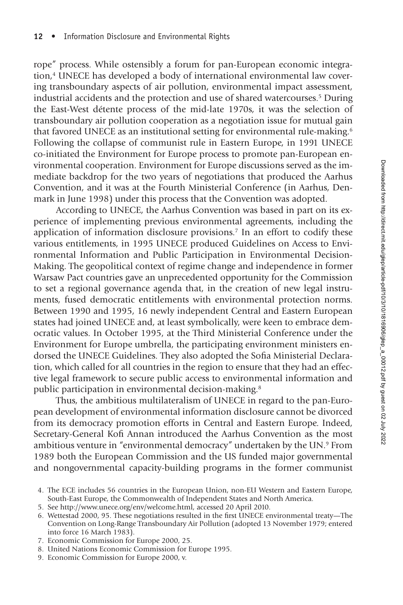rope" process. While ostensibly a forum for pan-European economic integration,<sup>4</sup> UNECE has developed a body of international environmental law covering transboundary aspects of air pollution, environmental impact assessment, industrial accidents and the protection and use of shared watercourses.5 During the East-West détente process of the mid-late 1970s, it was the selection of transboundary air pollution cooperation as a negotiation issue for mutual gain that favored UNECE as an institutional setting for environmental rule-making.<sup>6</sup> Following the collapse of communist rule in Eastern Europe, in 1991 UNECE co-initiated the Environment for Europe process to promote pan-European environmental cooperation. Environment for Europe discussions served as the immediate backdrop for the two years of negotiations that produced the Aarhus Convention, and it was at the Fourth Ministerial Conference (in Aarhus, Denmark in June 1998) under this process that the Convention was adopted.

According to UNECE, the Aarhus Convention was based in part on its experience of implementing previous environmental agreements, including the application of information disclosure provisions.7 In an effort to codify these various entitlements, in 1995 UNECE produced Guidelines on Access to Environmental Information and Public Participation in Environmental Decision-Making. The geopolitical context of regime change and independence in former Warsaw Pact countries gave an unprecedented opportunity for the Commission to set a regional governance agenda that, in the creation of new legal instruments, fused democratic entitlements with environmental protection norms. Between 1990 and 1995, 16 newly independent Central and Eastern European states had joined UNECE and, at least symbolically, were keen to embrace democratic values. In October 1995, at the Third Ministerial Conference under the Environment for Europe umbrella, the participating environment ministers endorsed the UNECE Guidelines. They also adopted the Sofia Ministerial Declaration, which called for all countries in the region to ensure that they had an effective legal framework to secure public access to environmental information and public participation in environmental decision-making.8

Thus, the ambitious multilateralism of UNECE in regard to the pan-European development of environmental information disclosure cannot be divorced from its democracy promotion efforts in Central and Eastern Europe. Indeed, Secretary-General Kofi Annan introduced the Aarhus Convention as the most ambitious venture in "environmental democracy" undertaken by the UN.9 From 1989 both the European Commission and the US funded major governmental and nongovernmental capacity-building programs in the former communist

- 7. Economic Commission for Europe 2000, 25.
- 8. United Nations Economic Commission for Europe 1995.
- 9. Economic Commission for Europe 2000, v.

<sup>4.</sup> The ECE includes 56 countries in the European Union, non-EU Western and Eastern Europe, South-East Europe, the Commonwealth of Independent States and North America.

<sup>5.</sup> See http://www.unece.org/env/welcome.html, accessed 20 April 2010.

<sup>6.</sup> Wettestad 2000, 95. These negotiations resulted in the first UNECE environmental treaty—The Convention on Long-Range Transboundary Air Pollution (adopted 13 November 1979; entered into force 16 March 1983).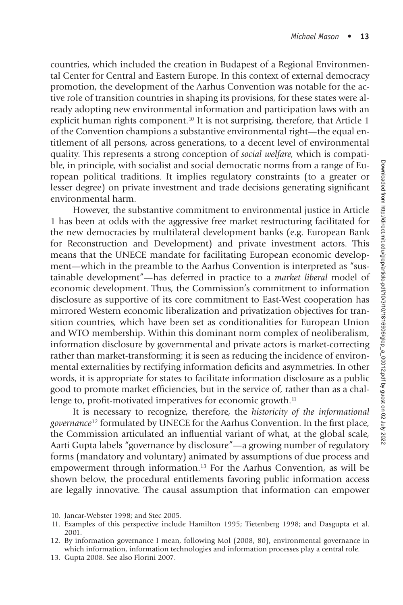countries, which included the creation in Budapest of a Regional Environmental Center for Central and Eastern Europe. In this context of external democracy promotion, the development of the Aarhus Convention was notable for the active role of transition countries in shaping its provisions, for these states were already adopting new environmental information and participation laws with an explicit human rights component.<sup>10</sup> It is not surprising, therefore, that Article 1 of the Convention champions a substantive environmental right—the equal entitlement of all persons, across generations, to a decent level of environmental quality. This represents a strong conception of *social welfare,* which is compatible, in principle, with socialist and social democratic norms from a range of European political traditions. It implies regulatory constraints (to a greater or lesser degree) on private investment and trade decisions generating significant environmental harm.

However, the substantive commitment to environmental justice in Article 1 has been at odds with the aggressive free market restructuring facilitated for the new democracies by multilateral development banks (e.g. European Bank for Reconstruction and Development) and private investment actors. This means that the UNECE mandate for facilitating European economic development—which in the preamble to the Aarhus Convention is interpreted as "sustainable development"—has deferred in practice to a *market liberal* model of economic development. Thus, the Commission's commitment to information disclosure as supportive of its core commitment to East-West cooperation has mirrored Western economic liberalization and privatization objectives for transition countries, which have been set as conditionalities for European Union and WTO membership. Within this dominant norm complex of neoliberalism, information disclosure by governmental and private actors is market-correcting rather than market-transforming: it is seen as reducing the incidence of environmental externalities by rectifying information deficits and asymmetries. In other words, it is appropriate for states to facilitate information disclosure as a public good to promote market efficiencies, but in the service of, rather than as a challenge to, profit-motivated imperatives for economic growth.<sup>11</sup>

It is necessary to recognize, therefore, the *historicity of the informational governance*<sup>12</sup> formulated by UNECE for the Aarhus Convention. In the first place, the Commission articulated an influential variant of what, at the global scale, Aarti Gupta labels "governance by disclosure"—a growing number of regulatory forms (mandatory and voluntary) animated by assumptions of due process and empowerment through information.13 For the Aarhus Convention, as will be shown below, the procedural entitlements favoring public information access are legally innovative. The causal assumption that information can empower

13. Gupta 2008. See also Florini 2007.

<sup>10.</sup> Jancar-Webster 1998; and Stec 2005.

<sup>11.</sup> Examples of this perspective include Hamilton 1995; Tietenberg 1998; and Dasgupta et al. 2001.

<sup>12.</sup> By information governance I mean, following Mol (2008, 80), environmental governance in which information, information technologies and information processes play a central role.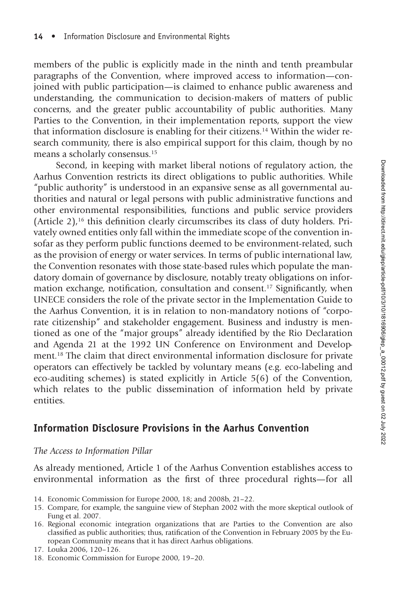members of the public is explicitly made in the ninth and tenth preambular paragraphs of the Convention, where improved access to information—conjoined with public participation—is claimed to enhance public awareness and understanding, the communication to decision-makers of matters of public concerns, and the greater public accountability of public authorities. Many Parties to the Convention, in their implementation reports, support the view that information disclosure is enabling for their citizens.14 Within the wider research community, there is also empirical support for this claim, though by no means a scholarly consensus.15

Second, in keeping with market liberal notions of regulatory action, the Aarhus Convention restricts its direct obligations to public authorities. While "public authority" is understood in an expansive sense as all governmental authorities and natural or legal persons with public administrative functions and other environmental responsibilities, functions and public service providers (Article 2),<sup>16</sup> this definition clearly circumscribes its class of duty holders. Privately owned entities only fall within the immediate scope of the convention insofar as they perform public functions deemed to be environment-related, such as the provision of energy or water services. In terms of public international law, the Convention resonates with those state-based rules which populate the mandatory domain of governance by disclosure, notably treaty obligations on information exchange, notification, consultation and consent.<sup>17</sup> Significantly, when UNECE considers the role of the private sector in the Implementation Guide to the Aarhus Convention, it is in relation to non-mandatory notions of "corporate citizenship" and stakeholder engagement. Business and industry is mentioned as one of the "major groups" already identified by the Rio Declaration and Agenda 21 at the 1992 UN Conference on Environment and Development.18 The claim that direct environmental information disclosure for private operators can effectively be tackled by voluntary means (e.g. eco-labeling and eco-auditing schemes) is stated explicitly in Article 5(6) of the Convention, which relates to the public dissemination of information held by private entities.

## **Information Disclosure Provisions in the Aarhus Convention**

#### *The Access to Information Pillar*

As already mentioned, Article 1 of the Aarhus Convention establishes access to environmental information as the first of three procedural rights-for all

- 14. Economic Commission for Europe 2000, 18; and 2008b, 21–22.
- 15. Compare, for example, the sanguine view of Stephan 2002 with the more skeptical outlook of Fung et al. 2007.
- 16. Regional economic integration organizations that are Parties to the Convention are also classified as public authorities; thus, ratification of the Convention in February 2005 by the European Community means that it has direct Aarhus obligations.

18. Economic Commission for Europe 2000, 19–20.

<sup>17.</sup> Louka 2006, 120–126.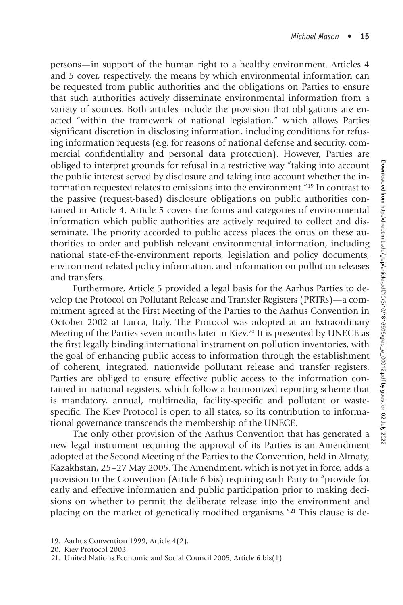persons—in support of the human right to a healthy environment. Articles 4 and 5 cover, respectively, the means by which environmental information can be requested from public authorities and the obligations on Parties to ensure that such authorities actively disseminate environmental information from a variety of sources. Both articles include the provision that obligations are enacted "within the framework of national legislation," which allows Parties significant discretion in disclosing information, including conditions for refusing information requests (e.g. for reasons of national defense and security, commercial confidentiality and personal data protection). However, Parties are obliged to interpret grounds for refusal in a restrictive way "taking into account the public interest served by disclosure and taking into account whether the information requested relates to emissions into the environment."19 In contrast to the passive (request-based) disclosure obligations on public authorities contained in Article 4, Article 5 covers the forms and categories of environmental information which public authorities are actively required to collect and disseminate. The priority accorded to public access places the onus on these authorities to order and publish relevant environmental information, including national state-of-the-environment reports, legislation and policy documents, environment-related policy information, and information on pollution releases and transfers.

Furthermore, Article 5 provided a legal basis for the Aarhus Parties to develop the Protocol on Pollutant Release and Transfer Registers (PRTRs)—a commitment agreed at the First Meeting of the Parties to the Aarhus Convention in October 2002 at Lucca, Italy. The Protocol was adopted at an Extraordinary Meeting of the Parties seven months later in Kiev.<sup>20</sup> It is presented by UNECE as the first legally binding international instrument on pollution inventories, with the goal of enhancing public access to information through the establishment of coherent, integrated, nationwide pollutant release and transfer registers. Parties are obliged to ensure effective public access to the information contained in national registers, which follow a harmonized reporting scheme that is mandatory, annual, multimedia, facility-specific and pollutant or wastespecific. The Kiev Protocol is open to all states, so its contribution to informational governance transcends the membership of the UNECE.

The only other provision of the Aarhus Convention that has generated a new legal instrument requiring the approval of its Parties is an Amendment adopted at the Second Meeting of the Parties to the Convention, held in Almaty, Kazakhstan, 25–27 May 2005. The Amendment, which is not yet in force, adds a provision to the Convention (Article 6 bis) requiring each Party to "provide for early and effective information and public participation prior to making decisions on whether to permit the deliberate release into the environment and placing on the market of genetically modified organisms."<sup>21</sup> This clause is de-

<sup>19.</sup> Aarhus Convention 1999, Article 4(2).

<sup>20.</sup> Kiev Protocol 2003.

<sup>21.</sup> United Nations Economic and Social Council 2005, Article 6 bis(1).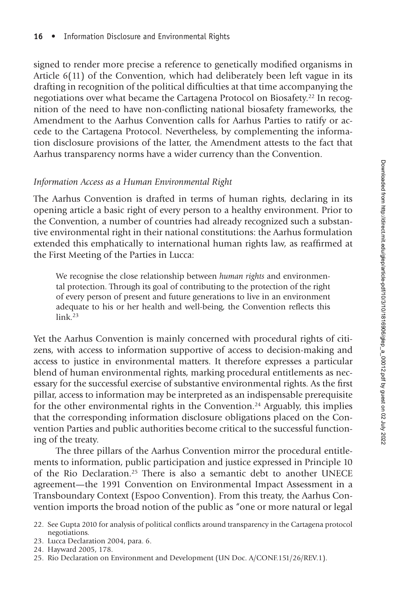signed to render more precise a reference to genetically modified organisms in Article 6(11) of the Convention, which had deliberately been left vague in its drafting in recognition of the political difficulties at that time accompanying the negotiations over what became the Cartagena Protocol on Biosafety.<sup>22</sup> In recognition of the need to have non-conflicting national biosafety frameworks, the Amendment to the Aarhus Convention calls for Aarhus Parties to ratify or accede to the Cartagena Protocol. Nevertheless, by complementing the information disclosure provisions of the latter, the Amendment attests to the fact that Aarhus transparency norms have a wider currency than the Convention.

#### *Information Access as a Human Environmental Right*

The Aarhus Convention is drafted in terms of human rights, declaring in its opening article a basic right of every person to a healthy environment. Prior to the Convention, a number of countries had already recognized such a substantive environmental right in their national constitutions: the Aarhus formulation extended this emphatically to international human rights law, as reaffirmed at the First Meeting of the Parties in Lucca:

We recognise the close relationship between *human rights* and environmental protection. Through its goal of contributing to the protection of the right of every person of present and future generations to live in an environment adequate to his or her health and well-being, the Convention reflects this  $link<sup>23</sup>$ 

Yet the Aarhus Convention is mainly concerned with procedural rights of citizens, with access to information supportive of access to decision-making and access to justice in environmental matters. It therefore expresses a particular blend of human environmental rights, marking procedural entitlements as necessary for the successful exercise of substantive environmental rights. As the first pillar, access to information may be interpreted as an indispensable prerequisite for the other environmental rights in the Convention.<sup>24</sup> Arguably, this implies that the corresponding information disclosure obligations placed on the Convention Parties and public authorities become critical to the successful functioning of the treaty.

The three pillars of the Aarhus Convention mirror the procedural entitlements to information, public participation and justice expressed in Principle 10 of the Rio Declaration.25 There is also a semantic debt to another UNECE agreement—the 1991 Convention on Environmental Impact Assessment in a Transboundary Context (Espoo Convention). From this treaty, the Aarhus Convention imports the broad notion of the public as "one or more natural or legal

- 23. Lucca Declaration 2004, para. 6.
- 24. Hayward 2005, 178.
- 25. Rio Declaration on Environment and Development (UN Doc. A/CONF.151/26/REV.1).

<sup>22.</sup> See Gupta 2010 for analysis of political conflicts around transparency in the Cartagena protocol negotiations.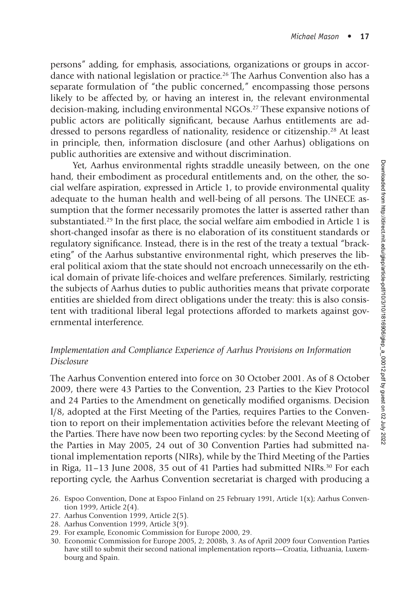persons" adding, for emphasis, associations, organizations or groups in accordance with national legislation or practice.26 The Aarhus Convention also has a separate formulation of "the public concerned," encompassing those persons likely to be affected by, or having an interest in, the relevant environmental decision-making, including environmental NGOs.<sup>27</sup> These expansive notions of public actors are politically significant, because Aarhus entitlements are addressed to persons regardless of nationality, residence or citizenship.28 At least in principle, then, information disclosure (and other Aarhus) obligations on public authorities are extensive and without discrimination.

Yet, Aarhus environmental rights straddle uneasily between, on the one hand, their embodiment as procedural entitlements and, on the other, the social welfare aspiration, expressed in Article 1, to provide environmental quality adequate to the human health and well-being of all persons. The UNECE assumption that the former necessarily promotes the latter is asserted rather than substantiated.<sup>29</sup> In the first place, the social welfare aim embodied in Article 1 is short-changed insofar as there is no elaboration of its constituent standards or regulatory significance. Instead, there is in the rest of the treaty a textual "bracketing" of the Aarhus substantive environmental right, which preserves the liberal political axiom that the state should not encroach unnecessarily on the ethical domain of private life-choices and welfare preferences. Similarly, restricting the subjects of Aarhus duties to public authorities means that private corporate entities are shielded from direct obligations under the treaty: this is also consistent with traditional liberal legal protections afforded to markets against governmental interference.

#### *Implementation and Compliance Experience of Aarhus Provisions on Information Disclosure*

The Aarhus Convention entered into force on 30 October 2001. As of 8 October 2009, there were 43 Parties to the Convention, 23 Parties to the Kiev Protocol and 24 Parties to the Amendment on genetically modified organisms. Decision I/8, adopted at the First Meeting of the Parties, requires Parties to the Convention to report on their implementation activities before the relevant Meeting of the Parties. There have now been two reporting cycles: by the Second Meeting of the Parties in May 2005, 24 out of 30 Convention Parties had submitted national implementation reports (NIRs), while by the Third Meeting of the Parties in Riga, 11–13 June 2008, 35 out of 41 Parties had submitted NIRs.30 For each reporting cycle, the Aarhus Convention secretariat is charged with producing a

- 27. Aarhus Convention 1999, Article 2(5).
- 28. Aarhus Convention 1999, Article 3(9).
- 29. For example, Economic Commission for Europe 2000, 29.
- 30. Economic Commission for Europe 2005, 2; 2008b, 3. As of April 2009 four Convention Parties have still to submit their second national implementation reports—Croatia, Lithuania, Luxembourg and Spain.

<sup>26.</sup> Espoo Convention, Done at Espoo Finland on 25 February 1991, Article 1(x); Aarhus Convention 1999, Article 2(4).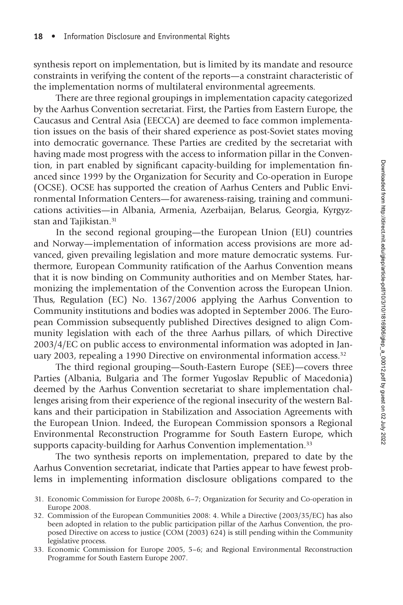synthesis report on implementation, but is limited by its mandate and resource constraints in verifying the content of the reports—a constraint characteristic of the implementation norms of multilateral environmental agreements.

There are three regional groupings in implementation capacity categorized by the Aarhus Convention secretariat. First, the Parties from Eastern Europe, the Caucasus and Central Asia (EECCA) are deemed to face common implementation issues on the basis of their shared experience as post-Soviet states moving into democratic governance. These Parties are credited by the secretariat with having made most progress with the access to information pillar in the Convention, in part enabled by significant capacity-building for implementation financed since 1999 by the Organization for Security and Co-operation in Europe (OCSE). OCSE has supported the creation of Aarhus Centers and Public Environmental Information Centers—for awareness-raising, training and communications activities—in Albania, Armenia, Azerbaijan, Belarus, Georgia, Kyrgyzstan and Tajikistan.<sup>31</sup>

In the second regional grouping—the European Union (EU) countries and Norway—implementation of information access provisions are more advanced, given prevailing legislation and more mature democratic systems. Furthermore, European Community ratification of the Aarhus Convention means that it is now binding on Community authorities and on Member States, harmonizing the implementation of the Convention across the European Union. Thus, Regulation (EC) No. 1367/2006 applying the Aarhus Convention to Community institutions and bodies was adopted in September 2006. The European Commission subsequently published Directives designed to align Community legislation with each of the three Aarhus pillars, of which Directive 2003/4/EC on public access to environmental information was adopted in January 2003, repealing a 1990 Directive on environmental information access.<sup>32</sup>

The third regional grouping—South-Eastern Europe (SEE)—covers three Parties (Albania, Bulgaria and The former Yugoslav Republic of Macedonia) deemed by the Aarhus Convention secretariat to share implementation challenges arising from their experience of the regional insecurity of the western Balkans and their participation in Stabilization and Association Agreements with the European Union. Indeed, the European Commission sponsors a Regional Environmental Reconstruction Programme for South Eastern Europe, which supports capacity-building for Aarhus Convention implementation.<sup>33</sup>

The two synthesis reports on implementation, prepared to date by the Aarhus Convention secretariat, indicate that Parties appear to have fewest problems in implementing information disclosure obligations compared to the

- 31. Economic Commission for Europe 2008b, 6–7; Organization for Security and Co-operation in Europe 2008.
- 32. Commission of the European Communities 2008: 4. While a Directive (2003/35/EC) has also been adopted in relation to the public participation pillar of the Aarhus Convention, the proposed Directive on access to justice (COM (2003) 624) is still pending within the Community legislative process.
- 33. Economic Commission for Europe 2005, 5–6; and Regional Environmental Reconstruction Programme for South Eastern Europe 2007.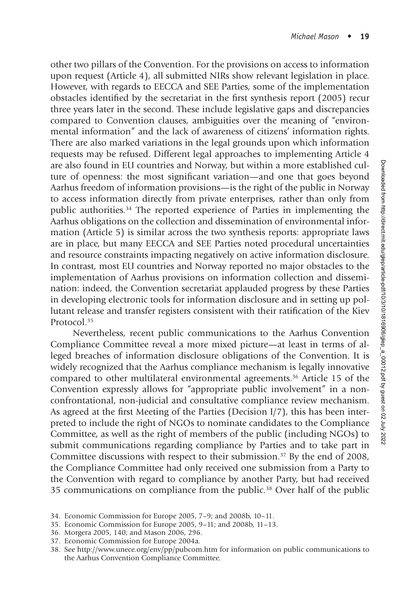other two pillars of the Convention. For the provisions on access to information upon request (Article 4), all submitted NIRs show relevant legislation in place. However, with regards to EECCA and SEE Parties, some of the implementation obstacles identified by the secretariat in the first synthesis report (2005) recur three years later in the second. These include legislative gaps and discrepancies compared to Convention clauses, ambiguities over the meaning of "environmental information" and the lack of awareness of citizens' information rights. There are also marked variations in the legal grounds upon which information requests may be refused. Different legal approaches to implementing Article 4 are also found in EU countries and Norway, but within a more established culture of openness: the most significant variation—and one that goes beyond Aarhus freedom of information provisions—is the right of the public in Norway to access information directly from private enterprises, rather than only from public authorities.34 The reported experience of Parties in implementing the Aarhus obligations on the collection and dissemination of environmental information (Article 5) is similar across the two synthesis reports: appropriate laws are in place, but many EECCA and SEE Parties noted procedural uncertainties and resource constraints impacting negatively on active information disclosure. In contrast, most EU countries and Norway reported no major obstacles to the implementation of Aarhus provisions on information collection and dissemination: indeed, the Convention secretariat applauded progress by these Parties in developing electronic tools for information disclosure and in setting up pollutant release and transfer registers consistent with their ratification of the Kiev Protocol.35

Nevertheless, recent public communications to the Aarhus Convention Compliance Committee reveal a more mixed picture—at least in terms of alleged breaches of information disclosure obligations of the Convention. It is widely recognized that the Aarhus compliance mechanism is legally innovative compared to other multilateral environmental agreements.36 Article 15 of the Convention expressly allows for "appropriate public involvement" in a nonconfrontational, non-judicial and consultative compliance review mechanism. As agreed at the first Meeting of the Parties (Decision  $I/7$ ), this has been interpreted to include the right of NGOs to nominate candidates to the Compliance Committee, as well as the right of members of the public (including NGOs) to submit communications regarding compliance by Parties and to take part in Committee discussions with respect to their submission.<sup>37</sup> By the end of 2008, the Compliance Committee had only received one submission from a Party to the Convention with regard to compliance by another Party, but had received 35 communications on compliance from the public.38 Over half of the public

- 34. Economic Commission for Europe 2005, 7–9; and 2008b, 10–11.
- 35. Economic Commission for Europe 2005, 9–11; and 2008b, 11–13.
- 36. Morgera 2005, 140; and Mason 2006, 296.
- 37. Economic Commission for Europe 2004a.

<sup>38.</sup> See http://www.unece.org/env/pp/pubcom.htm for information on public communications to the Aarhus Convention Compliance Committee.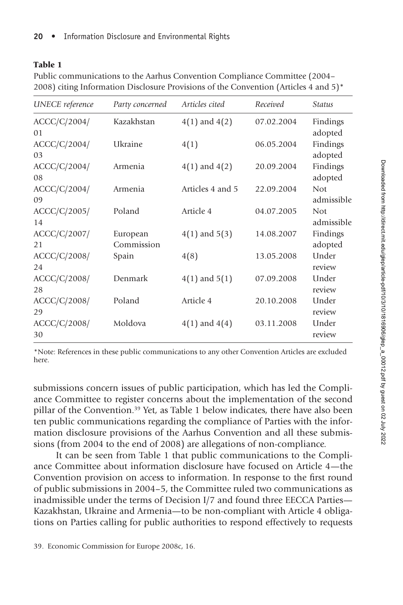#### Table 1

Public communications to the Aarhus Convention Compliance Committee (2004– 2008) citing Information Disclosure Provisions of the Convention (Articles 4 and 5)\*

| <b>UNECE</b> reference         | Party concerned        | Articles cited    | Received   | <b>Status</b>            |
|--------------------------------|------------------------|-------------------|------------|--------------------------|
| ACCC/C/2004/<br>0 <sub>1</sub> | Kazakhstan             | $4(1)$ and $4(2)$ | 07.02.2004 | Findings<br>adopted      |
| ACC/C/2004/<br>03              | Ukraine                | 4(1)              | 06.05.2004 | Findings<br>adopted      |
| ACCC/C/2004/<br>08             | Armenia                | $4(1)$ and $4(2)$ | 20.09.2004 | Findings<br>adopted      |
| ACC/C/2004/<br>09              | Armenia                | Articles 4 and 5  | 22.09.2004 | <b>Not</b><br>admissible |
| ACCC/C/2005/<br>14             | Poland                 | Article 4         | 04.07.2005 | <b>Not</b><br>admissible |
| ACC/C/2007/<br>21              | European<br>Commission | $4(1)$ and $5(3)$ | 14.08.2007 | Findings<br>adopted      |
| ACCC/C/2008/<br>24             | Spain                  | 4(8)              | 13.05.2008 | Under<br>review          |
| ACCC/C/2008/<br>28             | Denmark                | $4(1)$ and $5(1)$ | 07.09.2008 | Under<br>review          |
| ACCC/C/2008/<br>29             | Poland                 | Article 4         | 20.10.2008 | Under<br>review          |
| ACC/C/2008/<br>30              | Moldova                | $4(1)$ and $4(4)$ | 03.11.2008 | Under<br>review          |

\*Note: References in these public communications to any other Convention Articles are excluded here.

submissions concern issues of public participation, which has led the Compliance Committee to register concerns about the implementation of the second pillar of the Convention.39 Yet, as Table 1 below indicates, there have also been ten public communications regarding the compliance of Parties with the information disclosure provisions of the Aarhus Convention and all these submissions (from 2004 to the end of 2008) are allegations of non-compliance.

It can be seen from Table 1 that public communications to the Compliance Committee about information disclosure have focused on Article 4—the Convention provision on access to information. In response to the first round of public submissions in 2004–5, the Committee ruled two communications as inadmissible under the terms of Decision I/7 and found three EECCA Parties— Kazakhstan, Ukraine and Armenia—to be non-compliant with Article 4 obligations on Parties calling for public authorities to respond effectively to requests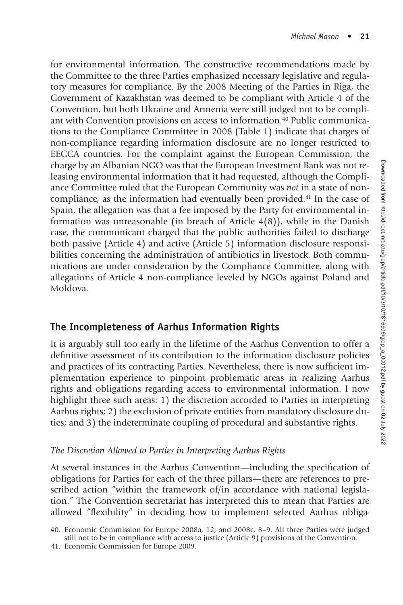for environmental information. The constructive recommendations made by the Committee to the three Parties emphasized necessary legislative and regulatory measures for compliance. By the 2008 Meeting of the Parties in Riga, the Government of Kazakhstan was deemed to be compliant with Article 4 of the Convention, but both Ukraine and Armenia were still judged not to be compliant with Convention provisions on access to information.40 Public communications to the Compliance Committee in 2008 (Table 1) indicate that charges of non-compliance regarding information disclosure are no longer restricted to EECCA countries. For the complaint against the European Commission, the charge by an Albanian NGO was that the European Investment Bank was not releasing environmental information that it had requested, although the Compliance Committee ruled that the European Community was *not* in a state of noncompliance, as the information had eventually been provided.41 In the case of Spain, the allegation was that a fee imposed by the Party for environmental information was unreasonable (in breach of Article 4(8)), while in the Danish case, the communicant charged that the public authorities failed to discharge both passive (Article 4) and active (Article 5) information disclosure responsibilities concerning the administration of antibiotics in livestock. Both communications are under consideration by the Compliance Committee, along with allegations of Article 4 non-compliance leveled by NGOs against Poland and Moldova.

## **The Incompleteness of Aarhus Information Rights**

It is arguably still too early in the lifetime of the Aarhus Convention to offer a definitive assessment of its contribution to the information disclosure policies and practices of its contracting Parties. Nevertheless, there is now sufficient implementation experience to pinpoint problematic areas in realizing Aarhus rights and obligations regarding access to environmental information. I now highlight three such areas: 1) the discretion accorded to Parties in interpreting Aarhus rights; 2) the exclusion of private entities from mandatory disclosure duties; and 3) the indeterminate coupling of procedural and substantive rights.

#### *The Discretion Allowed to Parties in Interpreting Aarhus Rights*

At several instances in the Aarhus Convention—including the specification of obligations for Parties for each of the three pillars—there are references to prescribed action "within the framework of/in accordance with national legislation." The Convention secretariat has interpreted this to mean that Parties are allowed "flexibility" in deciding how to implement selected Aarhus obliga-

<sup>40.</sup> Economic Commission for Europe 2008a, 12; and 2008c, 8–9. All three Parties were judged still not to be in compliance with access to justice (Article 9) provisions of the Convention.

<sup>41.</sup> Economic Commission for Europe 2009.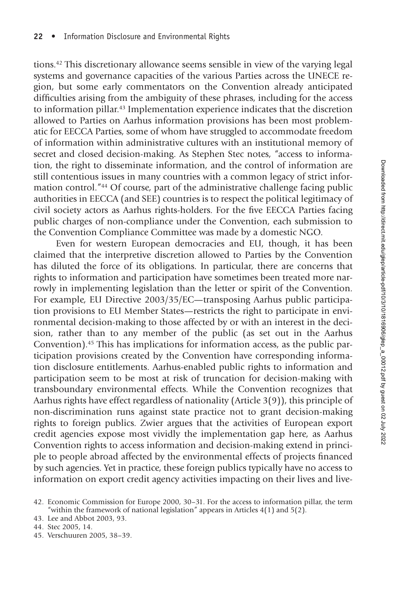tions.42 This discretionary allowance seems sensible in view of the varying legal systems and governance capacities of the various Parties across the UNECE region, but some early commentators on the Convention already anticipated difficulties arising from the ambiguity of these phrases, including for the access to information pillar.43 Implementation experience indicates that the discretion allowed to Parties on Aarhus information provisions has been most problematic for EECCA Parties, some of whom have struggled to accommodate freedom of information within administrative cultures with an institutional memory of secret and closed decision-making. As Stephen Stec notes, "access to information, the right to disseminate information, and the control of information are still contentious issues in many countries with a common legacy of strict information control."44 Of course, part of the administrative challenge facing public authorities in EECCA (and SEE) countries is to respect the political legitimacy of civil society actors as Aarhus rights-holders. For the five EECCA Parties facing public charges of non-compliance under the Convention, each submission to the Convention Compliance Committee was made by a domestic NGO.

Even for western European democracies and EU, though, it has been claimed that the interpretive discretion allowed to Parties by the Convention has diluted the force of its obligations. In particular, there are concerns that rights to information and participation have sometimes been treated more narrowly in implementing legislation than the letter or spirit of the Convention. For example, EU Directive 2003/35/EC—transposing Aarhus public participation provisions to EU Member States—restricts the right to participate in environmental decision-making to those affected by or with an interest in the decision, rather than to any member of the public (as set out in the Aarhus Convention).45 This has implications for information access, as the public participation provisions created by the Convention have corresponding information disclosure entitlements. Aarhus-enabled public rights to information and participation seem to be most at risk of truncation for decision-making with transboundary environmental effects. While the Convention recognizes that Aarhus rights have effect regardless of nationality (Article 3(9)), this principle of non-discrimination runs against state practice not to grant decision-making rights to foreign publics. Zwier argues that the activities of European export credit agencies expose most vividly the implementation gap here, as Aarhus Convention rights to access information and decision-making extend in principle to people abroad affected by the environmental effects of projects financed by such agencies. Yet in practice, these foreign publics typically have no access to information on export credit agency activities impacting on their lives and live-

43. Lee and Abbot 2003, 93.

45. Verschuuren 2005, 38–39.

<sup>42.</sup> Economic Commission for Europe 2000, 30–31. For the access to information pillar, the term "within the framework of national legislation" appears in Articles  $4(1)$  and  $5(2)$ .

<sup>44.</sup> Stec 2005, 14.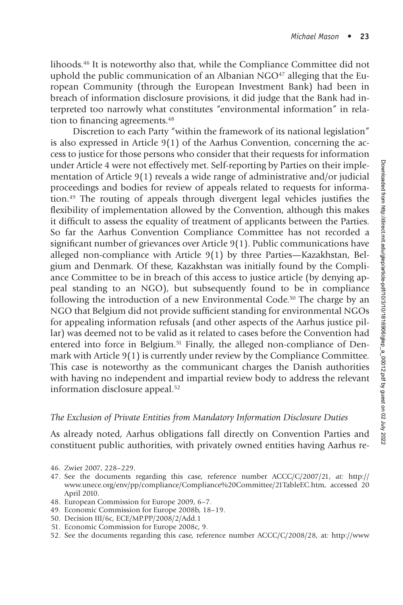lihoods.46 It is noteworthy also that, while the Compliance Committee did not uphold the public communication of an Albanian  $NGO<sup>47</sup>$  alleging that the European Community (through the European Investment Bank) had been in breach of information disclosure provisions, it did judge that the Bank had interpreted too narrowly what constitutes "environmental information" in relation to financing agreements.<sup>48</sup>

Discretion to each Party "within the framework of its national legislation" is also expressed in Article  $9(1)$  of the Aarhus Convention, concerning the access to justice for those persons who consider that their requests for information under Article 4 were not effectively met. Self-reporting by Parties on their implementation of Article 9(1) reveals a wide range of administrative and/or judicial proceedings and bodies for review of appeals related to requests for information. $49$  The routing of appeals through divergent legal vehicles justifies the flexibility of implementation allowed by the Convention, although this makes it difficult to assess the equality of treatment of applicants between the Parties. So far the Aarhus Convention Compliance Committee has not recorded a significant number of grievances over Article 9(1). Public communications have alleged non-compliance with Article 9(1) by three Parties—Kazakhstan, Belgium and Denmark. Of these, Kazakhstan was initially found by the Compliance Committee to be in breach of this access to justice article (by denying appeal standing to an NGO), but subsequently found to be in compliance following the introduction of a new Environmental Code.<sup>50</sup> The charge by an NGO that Belgium did not provide sufficient standing for environmental NGOs for appealing information refusals (and other aspects of the Aarhus justice pillar) was deemed not to be valid as it related to cases before the Convention had entered into force in Belgium.<sup>51</sup> Finally, the alleged non-compliance of Denmark with Article 9(1) is currently under review by the Compliance Committee. This case is noteworthy as the communicant charges the Danish authorities with having no independent and impartial review body to address the relevant information disclosure appeal.<sup>52</sup>

#### *The Exclusion of Private Entities from Mandatory Information Disclosure Duties*

As already noted, Aarhus obligations fall directly on Convention Parties and constituent public authorities, with privately owned entities having Aarhus re-

- 46. Zwier 2007, 228–229.
- 47. See the documents regarding this case, reference number ACCC/C/2007/21, *at:* http:// www.unece.org/env/pp/compliance/Compliance%20Committee/21TableEC.htm, accessed 20 April 2010.
- 48. European Commission for Europe 2009, 6–7.
- 49. Economic Commission for Europe 2008b, 18–19.
- 50. Decision III/6c, ECE/MP.PP/2008/2/Add.1
- 51. Economic Commission for Europe 2008c, 9.
- 52. See the documents regarding this case, reference number ACCC/C/2008/28, at: http://www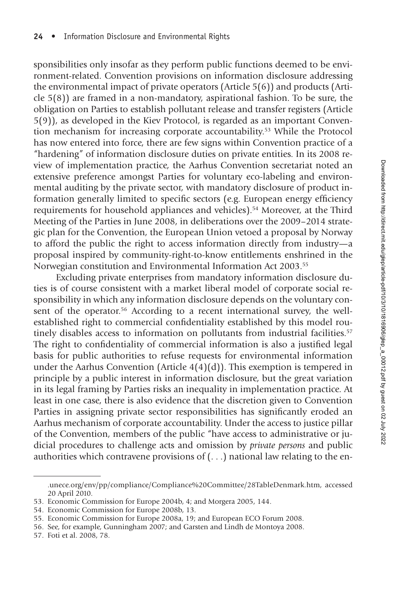sponsibilities only insofar as they perform public functions deemed to be environment-related. Convention provisions on information disclosure addressing the environmental impact of private operators (Article 5(6)) and products (Article 5(8)) are framed in a non-mandatory, aspirational fashion. To be sure, the obligation on Parties to establish pollutant release and transfer registers (Article 5(9)), as developed in the Kiev Protocol, is regarded as an important Convention mechanism for increasing corporate accountability.53 While the Protocol has now entered into force, there are few signs within Convention practice of a "hardening" of information disclosure duties on private entities. In its 2008 review of implementation practice, the Aarhus Convention secretariat noted an extensive preference amongst Parties for voluntary eco-labeling and environmental auditing by the private sector, with mandatory disclosure of product information generally limited to specific sectors (e.g. European energy efficiency requirements for household appliances and vehicles).<sup>54</sup> Moreover, at the Third Meeting of the Parties in June 2008, in deliberations over the 2009–2014 strategic plan for the Convention, the European Union vetoed a proposal by Norway to afford the public the right to access information directly from industry—a proposal inspired by community-right-to-know entitlements enshrined in the Norwegian constitution and Environmental Information Act 2003.55

Excluding private enterprises from mandatory information disclosure duties is of course consistent with a market liberal model of corporate social responsibility in which any information disclosure depends on the voluntary consent of the operator.<sup>56</sup> According to a recent international survey, the wellestablished right to commercial confidentiality established by this model routinely disables access to information on pollutants from industrial facilities.<sup>57</sup> The right to confidentiality of commercial information is also a justified legal basis for public authorities to refuse requests for environmental information under the Aarhus Convention (Article 4(4)(d)). This exemption is tempered in principle by a public interest in information disclosure, but the great variation in its legal framing by Parties risks an inequality in implementation practice. At least in one case, there is also evidence that the discretion given to Convention Parties in assigning private sector responsibilities has significantly eroded an Aarhus mechanism of corporate accountability. Under the access to justice pillar of the Convention, members of the public "have access to administrative or judicial procedures to challenge acts and omission by *private persons* and public authorities which contravene provisions of (. . .) national law relating to the en-

57. Foti et al. 2008, 78.

<sup>.</sup>unece.org/env/pp/compliance/Compliance%20Committee/28TableDenmark.htm, accessed 20 April 2010.

<sup>53.</sup> Economic Commission for Europe 2004b, 4; and Morgera 2005, 144.

<sup>54.</sup> Economic Commission for Europe 2008b, 13.

<sup>55.</sup> Economic Commission for Europe 2008a, 19; and European ECO Forum 2008.

<sup>56.</sup> See, for example, Gunningham 2007; and Garsten and Lindh de Montoya 2008.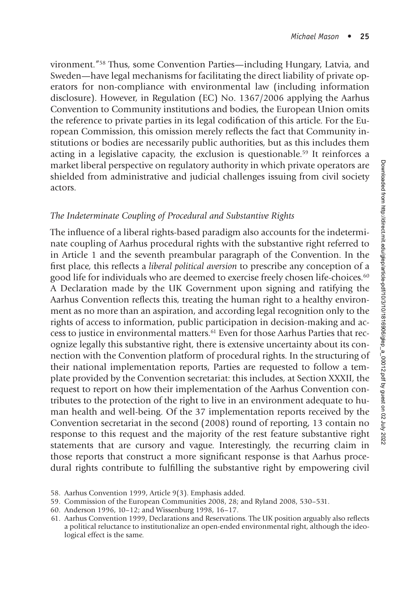vironment."58 Thus, some Convention Parties—including Hungary, Latvia, and Sweden—have legal mechanisms for facilitating the direct liability of private operators for non-compliance with environmental law (including information disclosure). However, in Regulation (EC) No. 1367/2006 applying the Aarhus Convention to Community institutions and bodies, the European Union omits the reference to private parties in its legal codification of this article. For the European Commission, this omission merely reflects the fact that Community institutions or bodies are necessarily public authorities, but as this includes them acting in a legislative capacity, the exclusion is questionable.<sup>59</sup> It reinforces a market liberal perspective on regulatory authority in which private operators are shielded from administrative and judicial challenges issuing from civil society actors.

#### *The Indeterminate Coupling of Procedural and Substantive Rights*

The influence of a liberal rights-based paradigm also accounts for the indeterminate coupling of Aarhus procedural rights with the substantive right referred to in Article 1 and the seventh preambular paragraph of the Convention. In the first place, this reflects a *liberal political aversion* to prescribe any conception of a good life for individuals who are deemed to exercise freely chosen life-choices.60 A Declaration made by the UK Government upon signing and ratifying the Aarhus Convention reflects this, treating the human right to a healthy environment as no more than an aspiration, and according legal recognition only to the rights of access to information, public participation in decision-making and access to justice in environmental matters.61 Even for those Aarhus Parties that recognize legally this substantive right, there is extensive uncertainty about its connection with the Convention platform of procedural rights. In the structuring of their national implementation reports, Parties are requested to follow a template provided by the Convention secretariat: this includes, at Section XXXII, the request to report on how their implementation of the Aarhus Convention contributes to the protection of the right to live in an environment adequate to human health and well-being. Of the 37 implementation reports received by the Convention secretariat in the second (2008) round of reporting, 13 contain no response to this request and the majority of the rest feature substantive right statements that are cursory and vague. Interestingly, the recurring claim in those reports that construct a more significant response is that Aarhus procedural rights contribute to fulfilling the substantive right by empowering civil

<sup>58.</sup> Aarhus Convention 1999, Article 9(3). Emphasis added.

<sup>59.</sup> Commission of the European Communities 2008, 28; and Ryland 2008, 530–531.

<sup>60.</sup> Anderson 1996, 10–12; and Wissenburg 1998, 16–17.

<sup>61.</sup> Aarhus Convention 1999, Declarations and Reservations. The UK position arguably also reflects a political reluctance to institutionalize an open-ended environmental right, although the ideological effect is the same.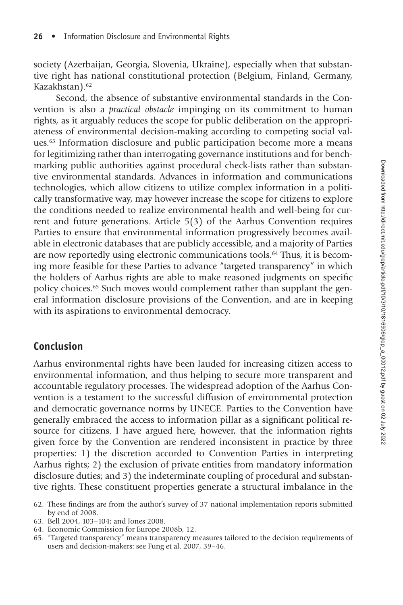society (Azerbaijan, Georgia, Slovenia, Ukraine), especially when that substantive right has national constitutional protection (Belgium, Finland, Germany, Kazakhstan).62

Second, the absence of substantive environmental standards in the Convention is also a *practical obstacle* impinging on its commitment to human rights, as it arguably reduces the scope for public deliberation on the appropriateness of environmental decision-making according to competing social values.63 Information disclosure and public participation become more a means for legitimizing rather than interrogating governance institutions and for benchmarking public authorities against procedural check-lists rather than substantive environmental standards. Advances in information and communications technologies, which allow citizens to utilize complex information in a politically transformative way, may however increase the scope for citizens to explore the conditions needed to realize environmental health and well-being for current and future generations. Article 5(3) of the Aarhus Convention requires Parties to ensure that environmental information progressively becomes available in electronic databases that are publicly accessible, and a majority of Parties are now reportedly using electronic communications tools.64 Thus, it is becoming more feasible for these Parties to advance "targeted transparency" in which the holders of Aarhus rights are able to make reasoned judgments on specific policy choices.65 Such moves would complement rather than supplant the general information disclosure provisions of the Convention, and are in keeping with its aspirations to environmental democracy.

## **Conclusion**

Aarhus environmental rights have been lauded for increasing citizen access to environmental information, and thus helping to secure more transparent and accountable regulatory processes. The widespread adoption of the Aarhus Convention is a testament to the successful diffusion of environmental protection and democratic governance norms by UNECE. Parties to the Convention have generally embraced the access to information pillar as a significant political resource for citizens. I have argued here, however, that the information rights given force by the Convention are rendered inconsistent in practice by three properties: 1) the discretion accorded to Convention Parties in interpreting Aarhus rights; 2) the exclusion of private entities from mandatory information disclosure duties; and 3) the indeterminate coupling of procedural and substantive rights. These constituent properties generate a structural imbalance in the

- 64. Economic Commission for Europe 2008b, 12.
- 65. "Targeted transparency" means transparency measures tailored to the decision requirements of users and decision-makers: see Fung et al. 2007, 39–46.

<sup>62.</sup> These findings are from the author's survey of 37 national implementation reports submitted by end of 2008.

<sup>63.</sup> Bell 2004, 103–104; and Jones 2008.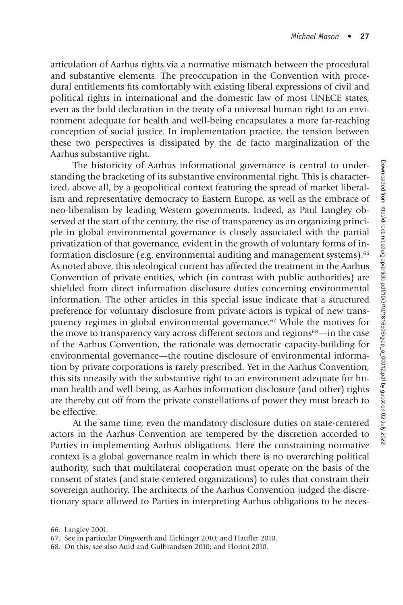articulation of Aarhus rights via a normative mismatch between the procedural and substantive elements. The preoccupation in the Convention with procedural entitlements fits comfortably with existing liberal expressions of civil and political rights in international and the domestic law of most UNECE states, even as the bold declaration in the treaty of a universal human right to an environment adequate for health and well-being encapsulates a more far-reaching conception of social justice. In implementation practice, the tension between these two perspectives is dissipated by the de facto marginalization of the Aarhus substantive right.

The historicity of Aarhus informational governance is central to understanding the bracketing of its substantive environmental right. This is characterized, above all, by a geopolitical context featuring the spread of market liberalism and representative democracy to Eastern Europe, as well as the embrace of neo-liberalism by leading Western governments. Indeed, as Paul Langley observed at the start of the century, the rise of transparency as an organizing principle in global environmental governance is closely associated with the partial privatization of that governance, evident in the growth of voluntary forms of information disclosure (e.g. environmental auditing and management systems).<sup>66</sup> As noted above, this ideological current has affected the treatment in the Aarhus Convention of private entities, which (in contrast with public authorities) are shielded from direct information disclosure duties concerning environmental information. The other articles in this special issue indicate that a structured preference for voluntary disclosure from private actors is typical of new transparency regimes in global environmental governance.67 While the motives for the move to transparency vary across different sectors and regions<sup>68</sup>—in the case of the Aarhus Convention, the rationale was democratic capacity-building for environmental governance—the routine disclosure of environmental information by private corporations is rarely prescribed. Yet in the Aarhus Convention, this sits uneasily with the substantive right to an environment adequate for human health and well-being, as Aarhus information disclosure (and other) rights are thereby cut off from the private constellations of power they must breach to be effective.

At the same time, even the mandatory disclosure duties on state-centered actors in the Aarhus Convention are tempered by the discretion accorded to Parties in implementing Aarhus obligations. Here the constraining normative context is a global governance realm in which there is no overarching political authority, such that multilateral cooperation must operate on the basis of the consent of states (and state-centered organizations) to rules that constrain their sovereign authority. The architects of the Aarhus Convention judged the discretionary space allowed to Parties in interpreting Aarhus obligations to be neces-

<sup>66.</sup> Langley 2001.

<sup>67.</sup> See in particular Dingwerth and Eichinger 2010; and Haufler 2010.

<sup>68.</sup> On this, see also Auld and Gulbrandsen 2010; and Florini 2010.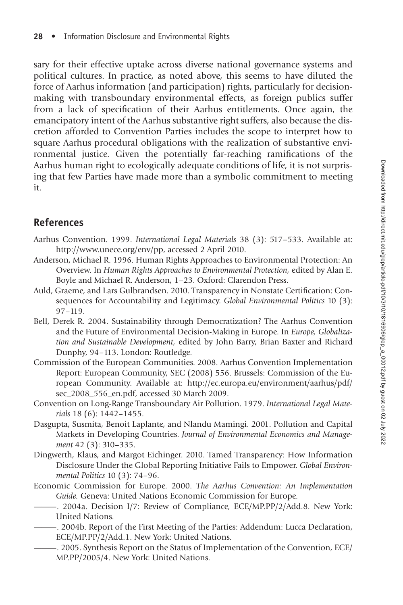sary for their effective uptake across diverse national governance systems and political cultures. In practice, as noted above, this seems to have diluted the force of Aarhus information (and participation) rights, particularly for decisionmaking with transboundary environmental effects, as foreign publics suffer from a lack of specification of their Aarhus entitlements. Once again, the emancipatory intent of the Aarhus substantive right suffers, also because the discretion afforded to Convention Parties includes the scope to interpret how to square Aarhus procedural obligations with the realization of substantive environmental justice. Given the potentially far-reaching ramifications of the Aarhus human right to ecologically adequate conditions of life, it is not surprising that few Parties have made more than a symbolic commitment to meeting it.

## **References**

- Aarhus Convention. 1999. *International Legal Materials* 38 (3): 517–533. Available at: http://www.unece.org/env/pp, accessed 2 April 2010.
- Anderson, Michael R. 1996. Human Rights Approaches to Environmental Protection: An Overview. In *Human Rights Approaches to Environmental Protection,* edited by Alan E. Boyle and Michael R. Anderson, 1–23. Oxford: Clarendon Press.
- Auld, Graeme, and Lars Gulbrandsen. 2010. Transparency in Nonstate Certification: Consequences for Accountability and Legitimacy. *Global Environmental Politics* 10 (3): 97–119.
- Bell, Derek R. 2004. Sustainability through Democratization? The Aarhus Convention and the Future of Environmental Decision-Making in Europe. In *Europe, Globalization and Sustainable Development,* edited by John Barry, Brian Baxter and Richard Dunphy, 94–113. London: Routledge.
- Commission of the European Communities. 2008. Aarhus Convention Implementation Report: European Community, SEC (2008) 556. Brussels: Commission of the European Community. Available at: http://ec.europa.eu/environment/aarhus/pdf/ sec\_2008\_556\_en.pdf, accessed 30 March 2009.
- Convention on Long-Range Transboundary Air Pollution. 1979. *International Legal Materials* 18 (6): 1442–1455.
- Dasgupta, Susmita, Benoit Laplante, and Nlandu Mamingi. 2001. Pollution and Capital Markets in Developing Countries. *Journal of Environmental Economics and Management* 42 (3): 310–335.
- Dingwerth, Klaus, and Margot Eichinger. 2010. Tamed Transparency: How Information Disclosure Under the Global Reporting Initiative Fails to Empower. *Global Environmental Politics* 10 (3): 74–96.
- Economic Commission for Europe. 2000. *The Aarhus Convention: An Implementation Guide.* Geneva: United Nations Economic Commission for Europe.
- -. 2004a. Decision I/7: Review of Compliance, ECE/MP.PP/2/Add.8. New York: United Nations.
- ———. 2004b. Report of the First Meeting of the Parties: Addendum: Lucca Declaration, ECE/MP.PP/2/Add.1. New York: United Nations.
- -. 2005. Synthesis Report on the Status of Implementation of the Convention, ECE/ MP.PP/2005/4. New York: United Nations.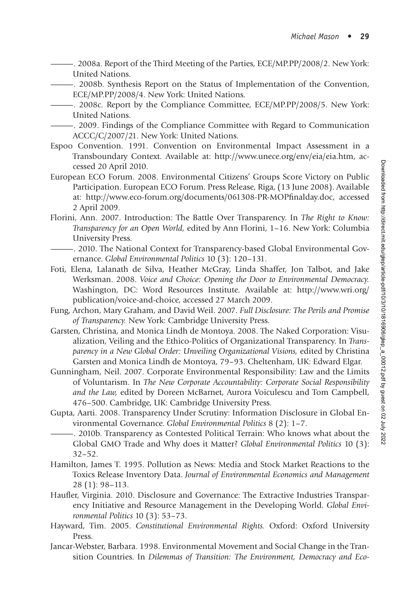- ———. 2008a. Report of the Third Meeting of the Parties, ECE/MP.PP/2008/2. New York: United Nations.
	- ———. 2008b. Synthesis Report on the Status of Implementation of the Convention, ECE/MP.PP/2008/4. New York: United Nations.
- -. 2008c. Report by the Compliance Committee, ECE/MP.PP/2008/5. New York: United Nations.
- ———. 2009. Findings of the Compliance Committee with Regard to Communication ACCC/C/2007/21. New York: United Nations.
- Espoo Convention. 1991. Convention on Environmental Impact Assessment in a Transboundary Context. Available at: http://www.unece.org/env/eia/eia.htm, accessed 20 April 2010.
- European ECO Forum. 2008. Environmental Citizens' Groups Score Victory on Public Participation. European ECO Forum. Press Release, Riga, (13 June 2008). Available at: http://www.eco-forum.org/documents/061308-PR-MOPfinalday.doc, accessed 2 April 2009.
- Florini, Ann. 2007. Introduction: The Battle Over Transparency. In *The Right to Know: Transparency for an Open World,* edited by Ann Florini, 1–16. New York: Columbia University Press.
- ———. 2010. The National Context for Transparency-based Global Environmental Governance. *Global Environmental Politics* 10 (3): 120–131.
- Foti, Elena, Lalanath de Silva, Heather McGray, Linda Shaffer, Jon Talbot, and Jake Werksman. 2008. *Voice and Choice: Opening the Door to Environmental Democracy.* Washington, DC: Word Resources Institute. Available at: http://www.wri.org/ publication/voice-and-choice, accessed 27 March 2009.
- Fung, Archon, Mary Graham, and David Weil. 2007. *Full Disclosure: The Perils and Promise of Transparency.* New York: Cambridge University Press.
- Garsten, Christina, and Monica Lindh de Montoya. 2008. The Naked Corporation: Visualization, Veiling and the Ethico-Politics of Organizational Transparency. In *Transparency in a New Global Order: Unveiling Organizational Visions,* edited by Christina Garsten and Monica Lindh de Montoya, 79–93. Cheltenham, UK: Edward Elgar.
- Gunningham, Neil. 2007. Corporate Environmental Responsibility: Law and the Limits of Voluntarism. In *The New Corporate Accountability: Corporate Social Responsibility and the Law,* edited by Doreen McBarnet, Aurora Voiculescu and Tom Campbell, 476–500. Cambridge, UK: Cambridge University Press.
- Gupta, Aarti. 2008. Transparency Under Scrutiny: Information Disclosure in Global Environmental Governance. *Global Environmental Politics* 8 (2): 1–7.
- ———. 2010b. Transparency as Contested Political Terrain: Who knows what about the Global GMO Trade and Why does it Matter? *Global Environmental Politics* 10 (3): 32–52.
- Hamilton, James T. 1995. Pollution as News: Media and Stock Market Reactions to the Toxics Release Inventory Data. *Journal of Environmental Economics and Management* 28 (1): 98–113.
- Haufler, Virginia. 2010. Disclosure and Governance: The Extractive Industries Transparency Initiative and Resource Management in the Developing World. *Global Environmental Politics* 10 (3): 53–73.
- Hayward, Tim. 2005. *Constitutional Environmental Rights.* Oxford: Oxford University Press.
- Jancar-Webster, Barbara. 1998. Environmental Movement and Social Change in the Transition Countries. In *Dilemmas of Transition: The Environment, Democracy and Eco-*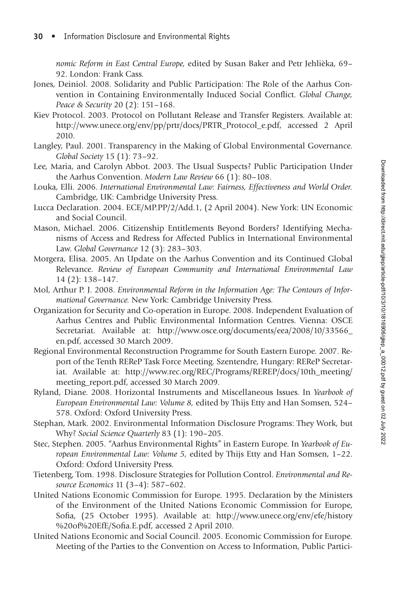*nomic Reform in East Central Europe,* edited by Susan Baker and Petr Jehlièka, 69– 92. London: Frank Cass.

- Jones, Deiniol. 2008. Solidarity and Public Participation: The Role of the Aarhus Convention in Containing Environmentally Induced Social Conflict. *Global Change*, *Peace & Security* 20 (2): 151–168.
- Kiev Protocol. 2003. Protocol on Pollutant Release and Transfer Registers. Available at: http://www.unece.org/env/pp/prtr/docs/PRTR\_Protocol\_e.pdf, accessed 2 April 2010.
- Langley, Paul. 2001. Transparency in the Making of Global Environmental Governance. *Global Society* 15 (1): 73–92.
- Lee, Maria, and Carolyn Abbot. 2003. The Usual Suspects? Public Participation Under the Aarhus Convention. *Modern Law Review* 66 (1): 80–108.
- Louka, Elli. 2006. *International Environmental Law: Fairness, Effectiveness and World Order.* Cambridge, UK: Cambridge University Press.
- Lucca Declaration. 2004. ECE/MP.PP/2/Add.1, (2 April 2004). New York: UN Economic and Social Council.
- Mason, Michael. 2006. Citizenship Entitlements Beyond Borders? Identifying Mechanisms of Access and Redress for Affected Publics in International Environmental Law. *Global Governance* 12 (3): 283–303.
- Morgera, Elisa. 2005. An Update on the Aarhus Convention and its Continued Global Relevance. *Review of European Community and International Environmental Law* 14 (2): 138–147.
- Mol, Arthur P. J. 2008. *Environmental Reform in the Information Age: The Contours of Informational Governance.* New York: Cambridge University Press.
- Organization for Security and Co-operation in Europe. 2008. Independent Evaluation of Aarhus Centres and Public Environmental Information Centres. Vienna: OSCE Secretariat. Available at: http://www.osce.org/documents/eea/2008/10/33566\_ en.pdf, accessed 30 March 2009.
- Regional Environmental Reconstruction Programme for South Eastern Europe. 2007. Report of the Tenth REReP Task Force Meeting. Szentendre, Hungary: REReP Secretariat. Available at: http://www.rec.org/REC/Programs/REREP/docs/10th\_meeting/ meeting\_report.pdf, accessed 30 March 2009.
- Ryland, Diane. 2008. Horizontal Instruments and Miscellaneous Issues. In *Yearbook of European Environmental Law: Volume 8,* edited by Thijs Etty and Han Somsen, 524– 578. Oxford: Oxford University Press.
- Stephan, Mark. 2002. Environmental Information Disclosure Programs: They Work, but Why? *Social Science Quarterly* 83 (1): 190–205.
- Stec, Stephen. 2005. "Aarhus Environmental Rights" in Eastern Europe. In *Yearbook of European Environmental Law: Volume 5,* edited by Thijs Etty and Han Somsen, 1–22. Oxford: Oxford University Press.
- Tietenberg, Tom. 1998. Disclosure Strategies for Pollution Control. *Environmental and Resource Economics* 11 (3–4): 587–602.
- United Nations Economic Commission for Europe. 1995. Declaration by the Ministers of the Environment of the United Nations Economic Commission for Europe, Sofia, (25 October 1995). Available at: http://www.unece.org/env/efe/history %20of%20EfE/Sofia.E.pdf, accessed 2 April 2010.
- United Nations Economic and Social Council. 2005. Economic Commission for Europe. Meeting of the Parties to the Convention on Access to Information, Public Partici-